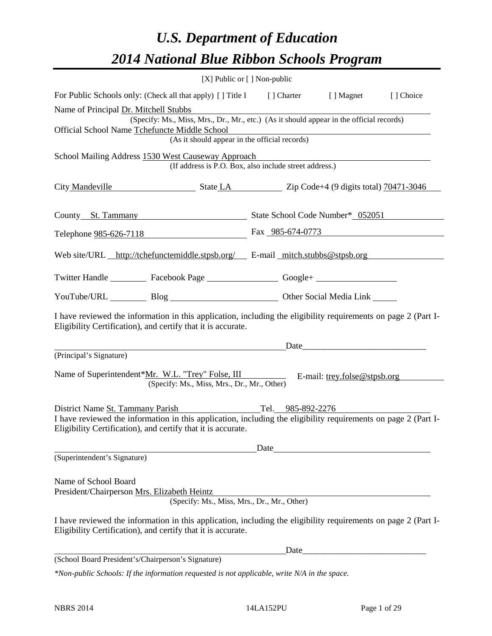# *U.S. Department of Education 2014 National Blue Ribbon Schools Program*

|                                                                                                                                                                                    |                                                                                              | [X] Public or [] Non-public |                                       |  |  |  |  |  |
|------------------------------------------------------------------------------------------------------------------------------------------------------------------------------------|----------------------------------------------------------------------------------------------|-----------------------------|---------------------------------------|--|--|--|--|--|
|                                                                                                                                                                                    | For Public Schools only: (Check all that apply) [] Title I [] Charter [] Magnet<br>[] Choice |                             |                                       |  |  |  |  |  |
| Name of Principal Dr. Mitchell Stubbs<br>(Specify: Ms., Miss, Mrs., Dr., Mr., etc.) (As it should appear in the official records)<br>Official School Name Tchefuncte Middle School |                                                                                              |                             |                                       |  |  |  |  |  |
| <u> 1989 - Johann Stoff, deutscher Stoff, der Stoff, der Stoff, der Stoff, der Stoff, der Stoff, der Stoff, der S</u><br>(As it should appear in the official records)             |                                                                                              |                             |                                       |  |  |  |  |  |
| School Mailing Address 1530 West Causeway Approach<br>(If address is P.O. Box, also include street address.)                                                                       |                                                                                              |                             |                                       |  |  |  |  |  |
| City Mandeville State LA Zip Code+4 (9 digits total) 70471-3046                                                                                                                    |                                                                                              |                             |                                       |  |  |  |  |  |
| County St. Tammany State School Code Number* 052051                                                                                                                                |                                                                                              |                             |                                       |  |  |  |  |  |
| Telephone 985-626-7118 Fax 985-674-0773                                                                                                                                            |                                                                                              |                             |                                       |  |  |  |  |  |
| Web site/URL http://tchefunctemiddle.stpsb.org/ E-mail mitch.stubbs@stpsb.org                                                                                                      |                                                                                              |                             |                                       |  |  |  |  |  |
| Twitter Handle ___________ Facebook Page ___________________ Google+ ____________                                                                                                  |                                                                                              |                             |                                       |  |  |  |  |  |
| YouTube/URL Blog Blog Cher Social Media Link                                                                                                                                       |                                                                                              |                             |                                       |  |  |  |  |  |
| I have reviewed the information in this application, including the eligibility requirements on page 2 (Part I-<br>Eligibility Certification), and certify that it is accurate.     |                                                                                              |                             |                                       |  |  |  |  |  |
|                                                                                                                                                                                    |                                                                                              | Date                        |                                       |  |  |  |  |  |
| (Principal's Signature)<br>Name of Superintendent*Mr. W.L. "Trey" Folse, III                                                                                                       | (Specify: Ms., Miss, Mrs., Dr., Mr., Other)                                                  |                             | E-mail: $\text{trey.folse@stpsb.org}$ |  |  |  |  |  |
| District Name St. Tammany Parish                                                                                                                                                   |                                                                                              | Tel. 985-892-2276           |                                       |  |  |  |  |  |
| I have reviewed the information in this application, including the eligibility requirements on page 2 (Part I-<br>Eligibility Certification), and certify that it is accurate.     |                                                                                              |                             |                                       |  |  |  |  |  |
|                                                                                                                                                                                    |                                                                                              | Date                        |                                       |  |  |  |  |  |
| (Superintendent's Signature)                                                                                                                                                       |                                                                                              |                             |                                       |  |  |  |  |  |
| Name of School Board<br>President/Chairperson Mrs. Elizabeth Heintz                                                                                                                | (Specify: Ms., Miss, Mrs., Dr., Mr., Other)                                                  |                             |                                       |  |  |  |  |  |
|                                                                                                                                                                                    |                                                                                              |                             |                                       |  |  |  |  |  |
| I have reviewed the information in this application, including the eligibility requirements on page 2 (Part I-<br>Eligibility Certification), and certify that it is accurate.     |                                                                                              |                             |                                       |  |  |  |  |  |
|                                                                                                                                                                                    |                                                                                              | Date                        |                                       |  |  |  |  |  |
| (School Board President's/Chairperson's Signature)                                                                                                                                 |                                                                                              |                             |                                       |  |  |  |  |  |
| *Non-public Schools: If the information requested is not applicable, write N/A in the space.                                                                                       |                                                                                              |                             |                                       |  |  |  |  |  |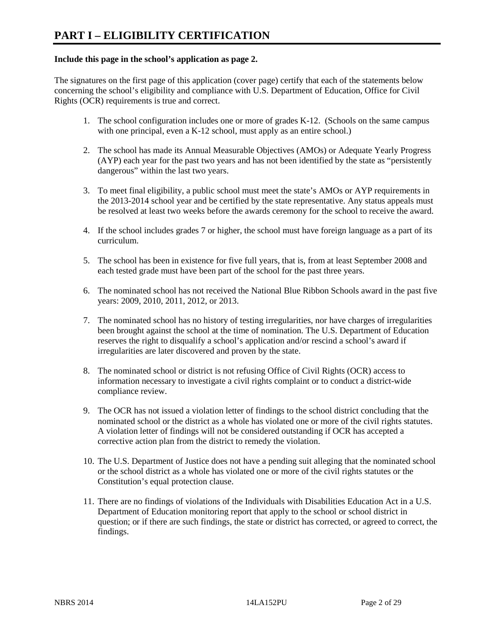### **Include this page in the school's application as page 2.**

The signatures on the first page of this application (cover page) certify that each of the statements below concerning the school's eligibility and compliance with U.S. Department of Education, Office for Civil Rights (OCR) requirements is true and correct.

- 1. The school configuration includes one or more of grades K-12. (Schools on the same campus with one principal, even a K-12 school, must apply as an entire school.)
- 2. The school has made its Annual Measurable Objectives (AMOs) or Adequate Yearly Progress (AYP) each year for the past two years and has not been identified by the state as "persistently dangerous" within the last two years.
- 3. To meet final eligibility, a public school must meet the state's AMOs or AYP requirements in the 2013-2014 school year and be certified by the state representative. Any status appeals must be resolved at least two weeks before the awards ceremony for the school to receive the award.
- 4. If the school includes grades 7 or higher, the school must have foreign language as a part of its curriculum.
- 5. The school has been in existence for five full years, that is, from at least September 2008 and each tested grade must have been part of the school for the past three years.
- 6. The nominated school has not received the National Blue Ribbon Schools award in the past five years: 2009, 2010, 2011, 2012, or 2013.
- 7. The nominated school has no history of testing irregularities, nor have charges of irregularities been brought against the school at the time of nomination. The U.S. Department of Education reserves the right to disqualify a school's application and/or rescind a school's award if irregularities are later discovered and proven by the state.
- 8. The nominated school or district is not refusing Office of Civil Rights (OCR) access to information necessary to investigate a civil rights complaint or to conduct a district-wide compliance review.
- 9. The OCR has not issued a violation letter of findings to the school district concluding that the nominated school or the district as a whole has violated one or more of the civil rights statutes. A violation letter of findings will not be considered outstanding if OCR has accepted a corrective action plan from the district to remedy the violation.
- 10. The U.S. Department of Justice does not have a pending suit alleging that the nominated school or the school district as a whole has violated one or more of the civil rights statutes or the Constitution's equal protection clause.
- 11. There are no findings of violations of the Individuals with Disabilities Education Act in a U.S. Department of Education monitoring report that apply to the school or school district in question; or if there are such findings, the state or district has corrected, or agreed to correct, the findings.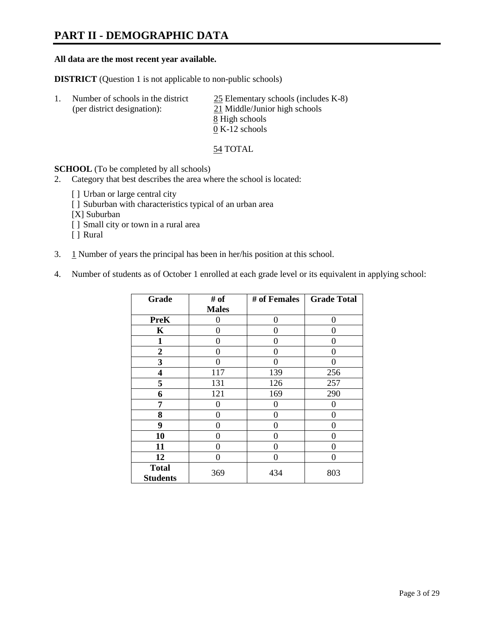### **PART II - DEMOGRAPHIC DATA**

#### **All data are the most recent year available.**

**DISTRICT** (Question 1 is not applicable to non-public schools)

| -1. | Number of schools in the district<br>(per district designation): | $25$ Elementary schools (includes K-8)<br>21 Middle/Junior high schools |
|-----|------------------------------------------------------------------|-------------------------------------------------------------------------|
|     |                                                                  | 8 High schools                                                          |
|     |                                                                  | $0 K-12$ schools                                                        |

54 TOTAL

**SCHOOL** (To be completed by all schools)

- 2. Category that best describes the area where the school is located:
	- [] Urban or large central city
	- [ ] Suburban with characteristics typical of an urban area
	- [X] Suburban
	- [ ] Small city or town in a rural area
	- [ ] Rural
- 3. 1 Number of years the principal has been in her/his position at this school.
- 4. Number of students as of October 1 enrolled at each grade level or its equivalent in applying school:

| Grade                           | # of         | # of Females | <b>Grade Total</b> |
|---------------------------------|--------------|--------------|--------------------|
|                                 | <b>Males</b> |              |                    |
| <b>PreK</b>                     | 0            | 0            | 0                  |
| K                               | 0            | 0            | 0                  |
| 1                               | 0            | 0            | 0                  |
| $\boldsymbol{2}$                | 0            | $\Omega$     | 0                  |
| 3                               | 0            | $\Omega$     | 0                  |
| 4                               | 117          | 139          | 256                |
| 5                               | 131          | 126          | 257                |
| 6                               | 121          | 169          | 290                |
| 7                               | 0            | 0            | 0                  |
| 8                               | 0            | 0            | 0                  |
| 9                               | 0            | 0            | 0                  |
| 10                              | 0            | 0            | 0                  |
| 11                              | 0            | 0            | 0                  |
| 12                              | 0            | 0            | 0                  |
| <b>Total</b><br><b>Students</b> | 369          | 434          | 803                |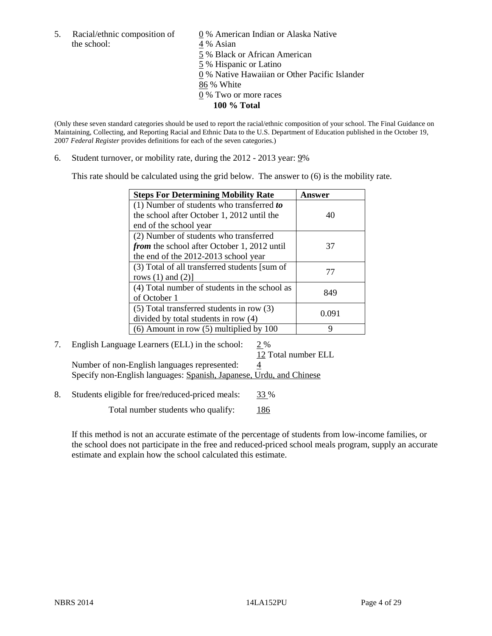the school: 4 % Asian

5. Racial/ethnic composition of  $\qquad \qquad \underline{0}$  % American Indian or Alaska Native 5 % Black or African American 5 % Hispanic or Latino 0 % Native Hawaiian or Other Pacific Islander 86 % White 0 % Two or more races **100 % Total** 

(Only these seven standard categories should be used to report the racial/ethnic composition of your school. The Final Guidance on Maintaining, Collecting, and Reporting Racial and Ethnic Data to the U.S. Department of Education published in the October 19, 2007 *Federal Register* provides definitions for each of the seven categories.)

6. Student turnover, or mobility rate, during the 2012 - 2013 year: 9%

This rate should be calculated using the grid below. The answer to (6) is the mobility rate.

| <b>Steps For Determining Mobility Rate</b>         | Answer |
|----------------------------------------------------|--------|
| (1) Number of students who transferred to          |        |
| the school after October 1, 2012 until the         | 40     |
| end of the school year                             |        |
| (2) Number of students who transferred             |        |
| <i>from</i> the school after October 1, 2012 until | 37     |
| the end of the 2012-2013 school year               |        |
| (3) Total of all transferred students [sum of      | 77     |
| rows $(1)$ and $(2)$ ]                             |        |
| (4) Total number of students in the school as      | 849    |
| of October 1                                       |        |
| $(5)$ Total transferred students in row $(3)$      | 0.091  |
| divided by total students in row (4)               |        |
| $(6)$ Amount in row $(5)$ multiplied by 100        | q      |

### 7. English Language Learners (ELL) in the school: 2 %

 12 Total number ELL Number of non-English languages represented:  $\frac{4}{5}$ Specify non-English languages: Spanish, Japanese, Urdu, and Chinese

8. Students eligible for free/reduced-priced meals: 33 %

Total number students who qualify: 186

If this method is not an accurate estimate of the percentage of students from low-income families, or the school does not participate in the free and reduced-priced school meals program, supply an accurate estimate and explain how the school calculated this estimate.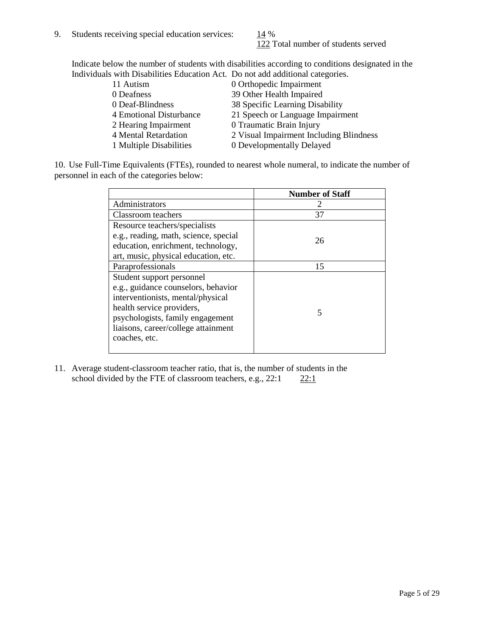122 Total number of students served

Indicate below the number of students with disabilities according to conditions designated in the Individuals with Disabilities Education Act. Do not add additional categories.

| 11 Autism               | 0 Orthopedic Impairment                 |
|-------------------------|-----------------------------------------|
| 0 Deafness              | 39 Other Health Impaired                |
| 0 Deaf-Blindness        | 38 Specific Learning Disability         |
| 4 Emotional Disturbance | 21 Speech or Language Impairment        |
| 2 Hearing Impairment    | 0 Traumatic Brain Injury                |
| 4 Mental Retardation    | 2 Visual Impairment Including Blindness |
| 1 Multiple Disabilities | 0 Developmentally Delayed               |
|                         |                                         |

10. Use Full-Time Equivalents (FTEs), rounded to nearest whole numeral, to indicate the number of personnel in each of the categories below:

|                                       | <b>Number of Staff</b> |
|---------------------------------------|------------------------|
| Administrators                        |                        |
| Classroom teachers                    | 37                     |
| Resource teachers/specialists         |                        |
| e.g., reading, math, science, special | 26                     |
| education, enrichment, technology,    |                        |
| art, music, physical education, etc.  |                        |
| Paraprofessionals                     | 15                     |
| Student support personnel             |                        |
| e.g., guidance counselors, behavior   |                        |
| interventionists, mental/physical     |                        |
| health service providers,             |                        |
| psychologists, family engagement      |                        |
| liaisons, career/college attainment   |                        |
| coaches, etc.                         |                        |
|                                       |                        |

11. Average student-classroom teacher ratio, that is, the number of students in the school divided by the FTE of classroom teachers, e.g.,  $22:1$   $22:1$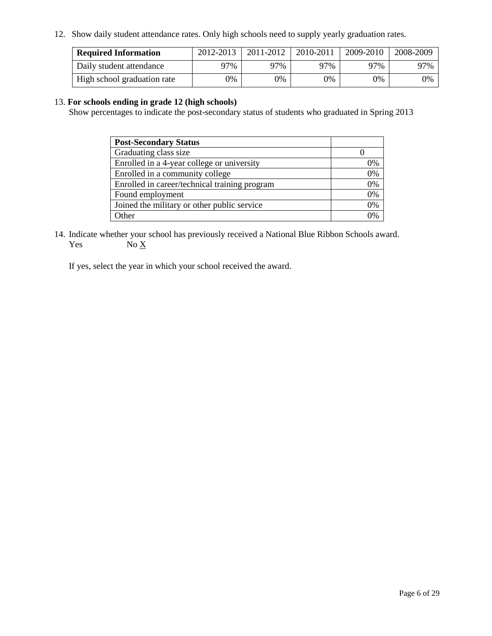12. Show daily student attendance rates. Only high schools need to supply yearly graduation rates.

| <b>Required Information</b> | 2012-2013 | 2011-2012 | 2010-2011 | 2009-2010 | 2008-2009 |
|-----------------------------|-----------|-----------|-----------|-----------|-----------|
| Daily student attendance    | $27\%$    | 97%       | 97%       | 97%       | 97%       |
| High school graduation rate | 0%        | 0%        | 0%        | $0\%$     | 0%        |

### 13. **For schools ending in grade 12 (high schools)**

Show percentages to indicate the post-secondary status of students who graduated in Spring 2013

| <b>Post-Secondary Status</b>                  |    |
|-----------------------------------------------|----|
| Graduating class size                         |    |
| Enrolled in a 4-year college or university    | 0% |
| Enrolled in a community college               | 0% |
| Enrolled in career/technical training program | 0% |
| Found employment                              | 0% |
| Joined the military or other public service   | 0% |
| Other                                         | 0% |

14. Indicate whether your school has previously received a National Blue Ribbon Schools award.  $No X$ 

If yes, select the year in which your school received the award.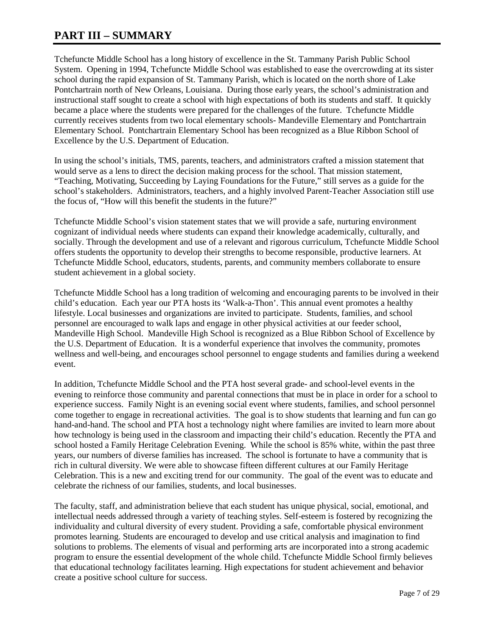### **PART III – SUMMARY**

Tchefuncte Middle School has a long history of excellence in the St. Tammany Parish Public School System. Opening in 1994, Tchefuncte Middle School was established to ease the overcrowding at its sister school during the rapid expansion of St. Tammany Parish, which is located on the north shore of Lake Pontchartrain north of New Orleans, Louisiana. During those early years, the school's administration and instructional staff sought to create a school with high expectations of both its students and staff. It quickly became a place where the students were prepared for the challenges of the future. Tchefuncte Middle currently receives students from two local elementary schools- Mandeville Elementary and Pontchartrain Elementary School. Pontchartrain Elementary School has been recognized as a Blue Ribbon School of Excellence by the U.S. Department of Education.

In using the school's initials, TMS, parents, teachers, and administrators crafted a mission statement that would serve as a lens to direct the decision making process for the school. That mission statement, "Teaching, Motivating, Succeeding by Laying Foundations for the Future," still serves as a guide for the school's stakeholders. Administrators, teachers, and a highly involved Parent-Teacher Association still use the focus of, "How will this benefit the students in the future?"

Tchefuncte Middle School's vision statement states that we will provide a safe, nurturing environment cognizant of individual needs where students can expand their knowledge academically, culturally, and socially. Through the development and use of a relevant and rigorous curriculum, Tchefuncte Middle School offers students the opportunity to develop their strengths to become responsible, productive learners. At Tchefuncte Middle School, educators, students, parents, and community members collaborate to ensure student achievement in a global society.

Tchefuncte Middle School has a long tradition of welcoming and encouraging parents to be involved in their child's education. Each year our PTA hosts its 'Walk-a-Thon'. This annual event promotes a healthy lifestyle. Local businesses and organizations are invited to participate. Students, families, and school personnel are encouraged to walk laps and engage in other physical activities at our feeder school, Mandeville High School. Mandeville High School is recognized as a Blue Ribbon School of Excellence by the U.S. Department of Education. It is a wonderful experience that involves the community, promotes wellness and well-being, and encourages school personnel to engage students and families during a weekend event.

In addition, Tchefuncte Middle School and the PTA host several grade- and school-level events in the evening to reinforce those community and parental connections that must be in place in order for a school to experience success. Family Night is an evening social event where students, families, and school personnel come together to engage in recreational activities. The goal is to show students that learning and fun can go hand-and-hand. The school and PTA host a technology night where families are invited to learn more about how technology is being used in the classroom and impacting their child's education. Recently the PTA and school hosted a Family Heritage Celebration Evening. While the school is 85% white, within the past three years, our numbers of diverse families has increased. The school is fortunate to have a community that is rich in cultural diversity. We were able to showcase fifteen different cultures at our Family Heritage Celebration. This is a new and exciting trend for our community. The goal of the event was to educate and celebrate the richness of our families, students, and local businesses.

The faculty, staff, and administration believe that each student has unique physical, social, emotional, and intellectual needs addressed through a variety of teaching styles. Self-esteem is fostered by recognizing the individuality and cultural diversity of every student. Providing a safe, comfortable physical environment promotes learning. Students are encouraged to develop and use critical analysis and imagination to find solutions to problems. The elements of visual and performing arts are incorporated into a strong academic program to ensure the essential development of the whole child. Tchefuncte Middle School firmly believes that educational technology facilitates learning. High expectations for student achievement and behavior create a positive school culture for success.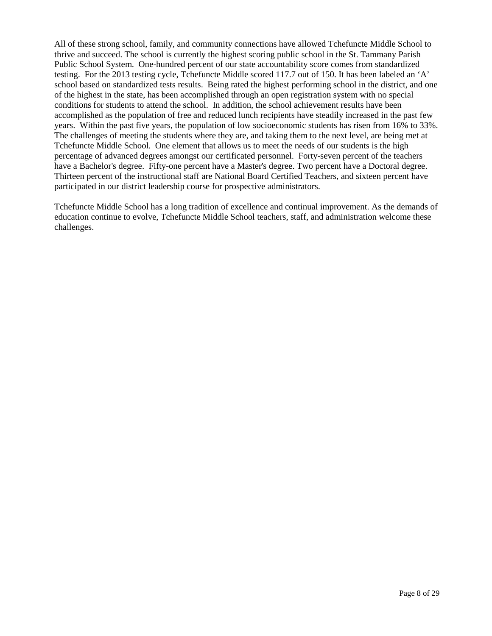All of these strong school, family, and community connections have allowed Tchefuncte Middle School to thrive and succeed. The school is currently the highest scoring public school in the St. Tammany Parish Public School System. One-hundred percent of our state accountability score comes from standardized testing. For the 2013 testing cycle, Tchefuncte Middle scored 117.7 out of 150. It has been labeled an 'A' school based on standardized tests results. Being rated the highest performing school in the district, and one of the highest in the state, has been accomplished through an open registration system with no special conditions for students to attend the school. In addition, the school achievement results have been accomplished as the population of free and reduced lunch recipients have steadily increased in the past few years. Within the past five years, the population of low socioeconomic students has risen from 16% to 33%. The challenges of meeting the students where they are, and taking them to the next level, are being met at Tchefuncte Middle School. One element that allows us to meet the needs of our students is the high percentage of advanced degrees amongst our certificated personnel. Forty-seven percent of the teachers have a Bachelor's degree. Fifty-one percent have a Master's degree. Two percent have a Doctoral degree. Thirteen percent of the instructional staff are National Board Certified Teachers, and sixteen percent have participated in our district leadership course for prospective administrators.

Tchefuncte Middle School has a long tradition of excellence and continual improvement. As the demands of education continue to evolve, Tchefuncte Middle School teachers, staff, and administration welcome these challenges.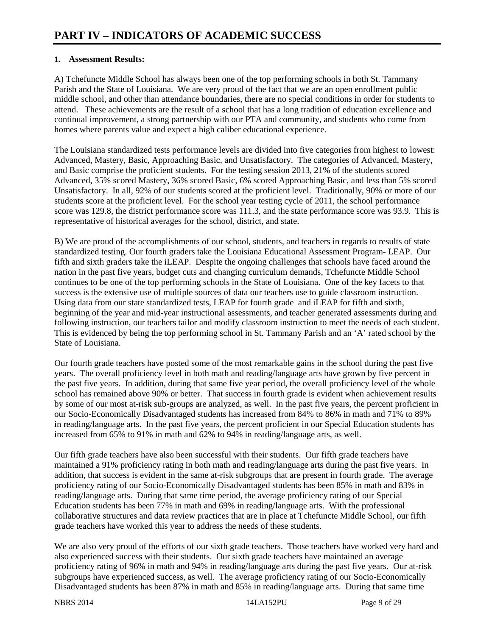### **1. Assessment Results:**

A) Tchefuncte Middle School has always been one of the top performing schools in both St. Tammany Parish and the State of Louisiana. We are very proud of the fact that we are an open enrollment public middle school, and other than attendance boundaries, there are no special conditions in order for students to attend. These achievements are the result of a school that has a long tradition of education excellence and continual improvement, a strong partnership with our PTA and community, and students who come from homes where parents value and expect a high caliber educational experience.

The Louisiana standardized tests performance levels are divided into five categories from highest to lowest: Advanced, Mastery, Basic, Approaching Basic, and Unsatisfactory. The categories of Advanced, Mastery, and Basic comprise the proficient students. For the testing session 2013, 21% of the students scored Advanced, 35% scored Mastery, 36% scored Basic, 6% scored Approaching Basic, and less than 5% scored Unsatisfactory. In all, 92% of our students scored at the proficient level. Traditionally, 90% or more of our students score at the proficient level. For the school year testing cycle of 2011, the school performance score was 129.8, the district performance score was 111.3, and the state performance score was 93.9. This is representative of historical averages for the school, district, and state.

B) We are proud of the accomplishments of our school, students, and teachers in regards to results of state standardized testing. Our fourth graders take the Louisiana Educational Assessment Program- LEAP. Our fifth and sixth graders take the iLEAP. Despite the ongoing challenges that schools have faced around the nation in the past five years, budget cuts and changing curriculum demands, Tchefuncte Middle School continues to be one of the top performing schools in the State of Louisiana. One of the key facets to that success is the extensive use of multiple sources of data our teachers use to guide classroom instruction. Using data from our state standardized tests, LEAP for fourth grade and iLEAP for fifth and sixth, beginning of the year and mid-year instructional assessments, and teacher generated assessments during and following instruction, our teachers tailor and modify classroom instruction to meet the needs of each student. This is evidenced by being the top performing school in St. Tammany Parish and an 'A' rated school by the State of Louisiana.

Our fourth grade teachers have posted some of the most remarkable gains in the school during the past five years. The overall proficiency level in both math and reading/language arts have grown by five percent in the past five years. In addition, during that same five year period, the overall proficiency level of the whole school has remained above 90% or better. That success in fourth grade is evident when achievement results by some of our most at-risk sub-groups are analyzed, as well. In the past five years, the percent proficient in our Socio-Economically Disadvantaged students has increased from 84% to 86% in math and 71% to 89% in reading/language arts. In the past five years, the percent proficient in our Special Education students has increased from 65% to 91% in math and 62% to 94% in reading/language arts, as well.

Our fifth grade teachers have also been successful with their students. Our fifth grade teachers have maintained a 91% proficiency rating in both math and reading/language arts during the past five years. In addition, that success is evident in the same at-risk subgroups that are present in fourth grade. The average proficiency rating of our Socio-Economically Disadvantaged students has been 85% in math and 83% in reading/language arts. During that same time period, the average proficiency rating of our Special Education students has been 77% in math and 69% in reading/language arts. With the professional collaborative structures and data review practices that are in place at Tchefuncte Middle School, our fifth grade teachers have worked this year to address the needs of these students.

We are also very proud of the efforts of our sixth grade teachers. Those teachers have worked very hard and also experienced success with their students. Our sixth grade teachers have maintained an average proficiency rating of 96% in math and 94% in reading/language arts during the past five years. Our at-risk subgroups have experienced success, as well. The average proficiency rating of our Socio-Economically Disadvantaged students has been 87% in math and 85% in reading/language arts. During that same time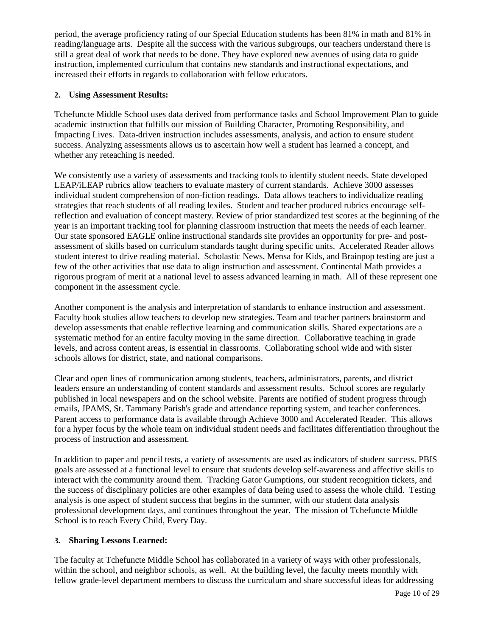period, the average proficiency rating of our Special Education students has been 81% in math and 81% in reading/language arts. Despite all the success with the various subgroups, our teachers understand there is still a great deal of work that needs to be done. They have explored new avenues of using data to guide instruction, implemented curriculum that contains new standards and instructional expectations, and increased their efforts in regards to collaboration with fellow educators.

### **2. Using Assessment Results:**

Tchefuncte Middle School uses data derived from performance tasks and School Improvement Plan to guide academic instruction that fulfills our mission of Building Character, Promoting Responsibility, and Impacting Lives. Data-driven instruction includes assessments, analysis, and action to ensure student success. Analyzing assessments allows us to ascertain how well a student has learned a concept, and whether any reteaching is needed.

We consistently use a variety of assessments and tracking tools to identify student needs. State developed LEAP/iLEAP rubrics allow teachers to evaluate mastery of current standards. Achieve 3000 assesses individual student comprehension of non-fiction readings. Data allows teachers to individualize reading strategies that reach students of all reading lexiles. Student and teacher produced rubrics encourage selfreflection and evaluation of concept mastery. Review of prior standardized test scores at the beginning of the year is an important tracking tool for planning classroom instruction that meets the needs of each learner. Our state sponsored EAGLE online instructional standards site provides an opportunity for pre- and postassessment of skills based on curriculum standards taught during specific units. Accelerated Reader allows student interest to drive reading material. Scholastic News, Mensa for Kids, and Brainpop testing are just a few of the other activities that use data to align instruction and assessment. Continental Math provides a rigorous program of merit at a national level to assess advanced learning in math. All of these represent one component in the assessment cycle.

Another component is the analysis and interpretation of standards to enhance instruction and assessment. Faculty book studies allow teachers to develop new strategies. Team and teacher partners brainstorm and develop assessments that enable reflective learning and communication skills. Shared expectations are a systematic method for an entire faculty moving in the same direction. Collaborative teaching in grade levels, and across content areas, is essential in classrooms. Collaborating school wide and with sister schools allows for district, state, and national comparisons.

Clear and open lines of communication among students, teachers, administrators, parents, and district leaders ensure an understanding of content standards and assessment results. School scores are regularly published in local newspapers and on the school website. Parents are notified of student progress through emails, JPAMS, St. Tammany Parish's grade and attendance reporting system, and teacher conferences. Parent access to performance data is available through Achieve 3000 and Accelerated Reader. This allows for a hyper focus by the whole team on individual student needs and facilitates differentiation throughout the process of instruction and assessment.

In addition to paper and pencil tests, a variety of assessments are used as indicators of student success. PBIS goals are assessed at a functional level to ensure that students develop self-awareness and affective skills to interact with the community around them. Tracking Gator Gumptions, our student recognition tickets, and the success of disciplinary policies are other examples of data being used to assess the whole child. Testing analysis is one aspect of student success that begins in the summer, with our student data analysis professional development days, and continues throughout the year. The mission of Tchefuncte Middle School is to reach Every Child, Every Day.

### **3. Sharing Lessons Learned:**

The faculty at Tchefuncte Middle School has collaborated in a variety of ways with other professionals, within the school, and neighbor schools, as well. At the building level, the faculty meets monthly with fellow grade-level department members to discuss the curriculum and share successful ideas for addressing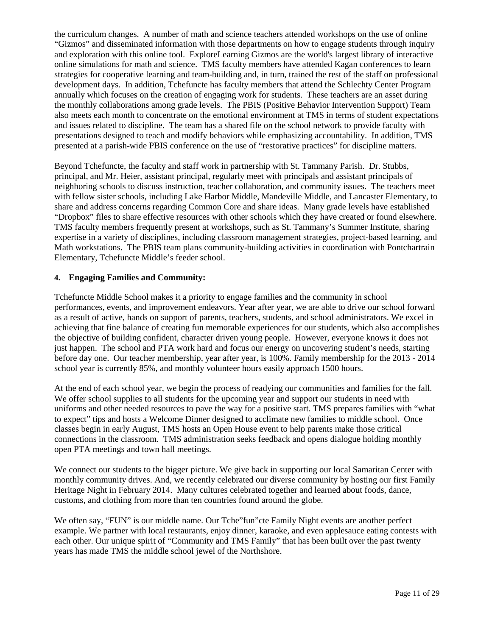the curriculum changes. A number of math and science teachers attended workshops on the use of online "Gizmos" and disseminated information with those departments on how to engage students through inquiry and exploration with this online tool. ExploreLearning Gizmos are the world's largest library of interactive online simulations for math and science. TMS faculty members have attended Kagan conferences to learn strategies for cooperative learning and team-building and, in turn, trained the rest of the staff on professional development days. In addition, Tchefuncte has faculty members that attend the Schlechty Center Program annually which focuses on the creation of engaging work for students. These teachers are an asset during the monthly collaborations among grade levels. The PBIS (Positive Behavior Intervention Support) Team also meets each month to concentrate on the emotional environment at TMS in terms of student expectations and issues related to discipline. The team has a shared file on the school network to provide faculty with presentations designed to teach and modify behaviors while emphasizing accountability. In addition, TMS presented at a parish-wide PBIS conference on the use of "restorative practices" for discipline matters.

Beyond Tchefuncte, the faculty and staff work in partnership with St. Tammany Parish. Dr. Stubbs, principal, and Mr. Heier, assistant principal, regularly meet with principals and assistant principals of neighboring schools to discuss instruction, teacher collaboration, and community issues. The teachers meet with fellow sister schools, including Lake Harbor Middle, Mandeville Middle, and Lancaster Elementary, to share and address concerns regarding Common Core and share ideas. Many grade levels have established "Dropbox" files to share effective resources with other schools which they have created or found elsewhere. TMS faculty members frequently present at workshops, such as St. Tammany's Summer Institute, sharing expertise in a variety of disciplines, including classroom management strategies, project-based learning, and Math workstations. The PBIS team plans community-building activities in coordination with Pontchartrain Elementary, Tchefuncte Middle's feeder school.

### **4. Engaging Families and Community:**

Tchefuncte Middle School makes it a priority to engage families and the community in school performances, events, and improvement endeavors. Year after year, we are able to drive our school forward as a result of active, hands on support of parents, teachers, students, and school administrators. We excel in achieving that fine balance of creating fun memorable experiences for our students, which also accomplishes the objective of building confident, character driven young people. However, everyone knows it does not just happen. The school and PTA work hard and focus our energy on uncovering student's needs, starting before day one. Our teacher membership, year after year, is 100%. Family membership for the 2013 - 2014 school year is currently 85%, and monthly volunteer hours easily approach 1500 hours.

At the end of each school year, we begin the process of readying our communities and families for the fall. We offer school supplies to all students for the upcoming year and support our students in need with uniforms and other needed resources to pave the way for a positive start. TMS prepares families with "what to expect" tips and hosts a Welcome Dinner designed to acclimate new families to middle school. Once classes begin in early August, TMS hosts an Open House event to help parents make those critical connections in the classroom. TMS administration seeks feedback and opens dialogue holding monthly open PTA meetings and town hall meetings.

We connect our students to the bigger picture. We give back in supporting our local Samaritan Center with monthly community drives. And, we recently celebrated our diverse community by hosting our first Family Heritage Night in February 2014. Many cultures celebrated together and learned about foods, dance, customs, and clothing from more than ten countries found around the globe.

We often say, "FUN" is our middle name. Our Tche"fun"cte Family Night events are another perfect example. We partner with local restaurants, enjoy dinner, karaoke, and even applesauce eating contests with each other. Our unique spirit of "Community and TMS Family" that has been built over the past twenty years has made TMS the middle school jewel of the Northshore.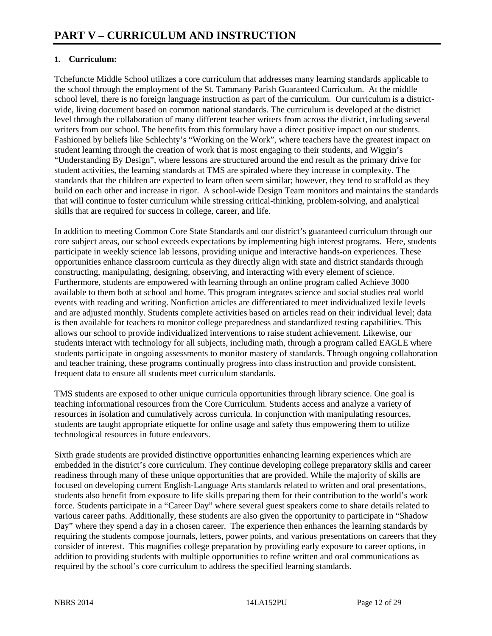### **1. Curriculum:**

Tchefuncte Middle School utilizes a core curriculum that addresses many learning standards applicable to the school through the employment of the St. Tammany Parish Guaranteed Curriculum. At the middle school level, there is no foreign language instruction as part of the curriculum. Our curriculum is a districtwide, living document based on common national standards. The curriculum is developed at the district level through the collaboration of many different teacher writers from across the district, including several writers from our school. The benefits from this formulary have a direct positive impact on our students. Fashioned by beliefs like Schlechty's "Working on the Work", where teachers have the greatest impact on student learning through the creation of work that is most engaging to their students, and Wiggin's "Understanding By Design", where lessons are structured around the end result as the primary drive for student activities, the learning standards at TMS are spiraled where they increase in complexity. The standards that the children are expected to learn often seem similar; however, they tend to scaffold as they build on each other and increase in rigor. A school-wide Design Team monitors and maintains the standards that will continue to foster curriculum while stressing critical-thinking, problem-solving, and analytical skills that are required for success in college, career, and life.

In addition to meeting Common Core State Standards and our district's guaranteed curriculum through our core subject areas, our school exceeds expectations by implementing high interest programs. Here, students participate in weekly science lab lessons, providing unique and interactive hands-on experiences. These opportunities enhance classroom curricula as they directly align with state and district standards through constructing, manipulating, designing, observing, and interacting with every element of science. Furthermore, students are empowered with learning through an online program called Achieve 3000 available to them both at school and home. This program integrates science and social studies real world events with reading and writing. Nonfiction articles are differentiated to meet individualized lexile levels and are adjusted monthly. Students complete activities based on articles read on their individual level; data is then available for teachers to monitor college preparedness and standardized testing capabilities. This allows our school to provide individualized interventions to raise student achievement. Likewise, our students interact with technology for all subjects, including math, through a program called EAGLE where students participate in ongoing assessments to monitor mastery of standards. Through ongoing collaboration and teacher training, these programs continually progress into class instruction and provide consistent, frequent data to ensure all students meet curriculum standards.

TMS students are exposed to other unique curricula opportunities through library science. One goal is teaching informational resources from the Core Curriculum. Students access and analyze a variety of resources in isolation and cumulatively across curricula. In conjunction with manipulating resources, students are taught appropriate etiquette for online usage and safety thus empowering them to utilize technological resources in future endeavors.

Sixth grade students are provided distinctive opportunities enhancing learning experiences which are embedded in the district's core curriculum. They continue developing college preparatory skills and career readiness through many of these unique opportunities that are provided. While the majority of skills are focused on developing current English-Language Arts standards related to written and oral presentations, students also benefit from exposure to life skills preparing them for their contribution to the world's work force. Students participate in a "Career Day" where several guest speakers come to share details related to various career paths. Additionally, these students are also given the opportunity to participate in "Shadow Day" where they spend a day in a chosen career. The experience then enhances the learning standards by requiring the students compose journals, letters, power points, and various presentations on careers that they consider of interest. This magnifies college preparation by providing early exposure to career options, in addition to providing students with multiple opportunities to refine written and oral communications as required by the school's core curriculum to address the specified learning standards.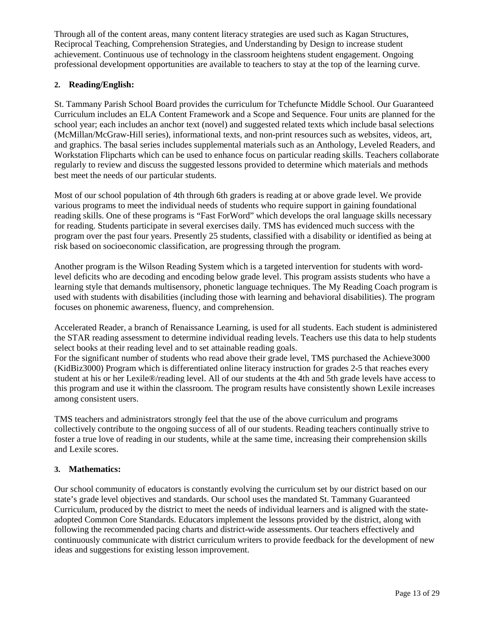Through all of the content areas, many content literacy strategies are used such as Kagan Structures, Reciprocal Teaching, Comprehension Strategies, and Understanding by Design to increase student achievement. Continuous use of technology in the classroom heightens student engagement. Ongoing professional development opportunities are available to teachers to stay at the top of the learning curve.

### **2. Reading/English:**

St. Tammany Parish School Board provides the curriculum for Tchefuncte Middle School. Our Guaranteed Curriculum includes an ELA Content Framework and a Scope and Sequence. Four units are planned for the school year; each includes an anchor text (novel) and suggested related texts which include basal selections (McMillan/McGraw-Hill series), informational texts, and non-print resources such as websites, videos, art, and graphics. The basal series includes supplemental materials such as an Anthology, Leveled Readers, and Workstation Flipcharts which can be used to enhance focus on particular reading skills. Teachers collaborate regularly to review and discuss the suggested lessons provided to determine which materials and methods best meet the needs of our particular students.

Most of our school population of 4th through 6th graders is reading at or above grade level. We provide various programs to meet the individual needs of students who require support in gaining foundational reading skills. One of these programs is "Fast ForWord" which develops the oral language skills necessary for reading. Students participate in several exercises daily. TMS has evidenced much success with the program over the past four years. Presently 25 students, classified with a disability or identified as being at risk based on socioeconomic classification, are progressing through the program.

Another program is the Wilson Reading System which is a targeted intervention for students with wordlevel deficits who are decoding and encoding below grade level. This program assists students who have a learning style that demands multisensory, phonetic language techniques. The My Reading Coach program is used with students with disabilities (including those with learning and behavioral disabilities). The program focuses on phonemic awareness, fluency, and comprehension.

Accelerated Reader, a branch of Renaissance Learning, is used for all students. Each student is administered the STAR reading assessment to determine individual reading levels. Teachers use this data to help students select books at their reading level and to set attainable reading goals.

For the significant number of students who read above their grade level, TMS purchased the Achieve3000 (KidBiz3000) Program which is differentiated online literacy instruction for grades 2-5 that reaches every student at his or her Lexile®/reading level. All of our students at the 4th and 5th grade levels have access to this program and use it within the classroom. The program results have consistently shown Lexile increases among consistent users.

TMS teachers and administrators strongly feel that the use of the above curriculum and programs collectively contribute to the ongoing success of all of our students. Reading teachers continually strive to foster a true love of reading in our students, while at the same time, increasing their comprehension skills and Lexile scores.

### **3. Mathematics:**

Our school community of educators is constantly evolving the curriculum set by our district based on our state's grade level objectives and standards. Our school uses the mandated St. Tammany Guaranteed Curriculum, produced by the district to meet the needs of individual learners and is aligned with the stateadopted Common Core Standards. Educators implement the lessons provided by the district, along with following the recommended pacing charts and district-wide assessments. Our teachers effectively and continuously communicate with district curriculum writers to provide feedback for the development of new ideas and suggestions for existing lesson improvement.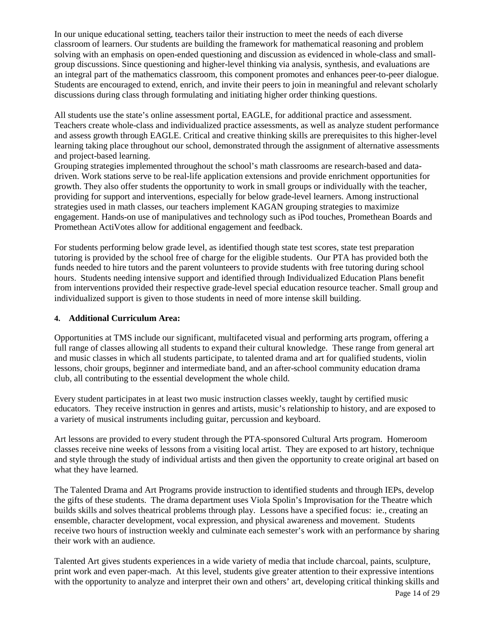In our unique educational setting, teachers tailor their instruction to meet the needs of each diverse classroom of learners. Our students are building the framework for mathematical reasoning and problem solving with an emphasis on open-ended questioning and discussion as evidenced in whole-class and smallgroup discussions. Since questioning and higher-level thinking via analysis, synthesis, and evaluations are an integral part of the mathematics classroom, this component promotes and enhances peer-to-peer dialogue. Students are encouraged to extend, enrich, and invite their peers to join in meaningful and relevant scholarly discussions during class through formulating and initiating higher order thinking questions.

All students use the state's online assessment portal, EAGLE, for additional practice and assessment. Teachers create whole-class and individualized practice assessments, as well as analyze student performance and assess growth through EAGLE. Critical and creative thinking skills are prerequisites to this higher-level learning taking place throughout our school, demonstrated through the assignment of alternative assessments and project-based learning.

Grouping strategies implemented throughout the school's math classrooms are research-based and datadriven. Work stations serve to be real-life application extensions and provide enrichment opportunities for growth. They also offer students the opportunity to work in small groups or individually with the teacher, providing for support and interventions, especially for below grade-level learners. Among instructional strategies used in math classes, our teachers implement KAGAN grouping strategies to maximize engagement. Hands-on use of manipulatives and technology such as iPod touches, Promethean Boards and Promethean ActiVotes allow for additional engagement and feedback.

For students performing below grade level, as identified though state test scores, state test preparation tutoring is provided by the school free of charge for the eligible students. Our PTA has provided both the funds needed to hire tutors and the parent volunteers to provide students with free tutoring during school hours. Students needing intensive support and identified through Individualized Education Plans benefit from interventions provided their respective grade-level special education resource teacher. Small group and individualized support is given to those students in need of more intense skill building.

### **4. Additional Curriculum Area:**

Opportunities at TMS include our significant, multifaceted visual and performing arts program, offering a full range of classes allowing all students to expand their cultural knowledge. These range from general art and music classes in which all students participate, to talented drama and art for qualified students, violin lessons, choir groups, beginner and intermediate band, and an after-school community education drama club, all contributing to the essential development the whole child.

Every student participates in at least two music instruction classes weekly, taught by certified music educators. They receive instruction in genres and artists, music's relationship to history, and are exposed to a variety of musical instruments including guitar, percussion and keyboard.

Art lessons are provided to every student through the PTA-sponsored Cultural Arts program. Homeroom classes receive nine weeks of lessons from a visiting local artist. They are exposed to art history, technique and style through the study of individual artists and then given the opportunity to create original art based on what they have learned.

The Talented Drama and Art Programs provide instruction to identified students and through IEPs, develop the gifts of these students. The drama department uses Viola Spolin's Improvisation for the Theatre which builds skills and solves theatrical problems through play. Lessons have a specified focus: ie., creating an ensemble, character development, vocal expression, and physical awareness and movement. Students receive two hours of instruction weekly and culminate each semester's work with an performance by sharing their work with an audience.

Talented Art gives students experiences in a wide variety of media that include charcoal, paints, sculpture, print work and even paper-mach. At this level, students give greater attention to their expressive intentions with the opportunity to analyze and interpret their own and others' art, developing critical thinking skills and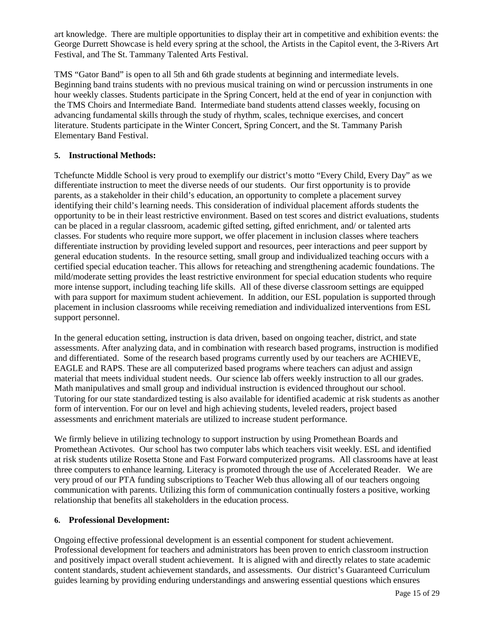art knowledge. There are multiple opportunities to display their art in competitive and exhibition events: the George Durrett Showcase is held every spring at the school, the Artists in the Capitol event, the 3-Rivers Art Festival, and The St. Tammany Talented Arts Festival.

TMS "Gator Band" is open to all 5th and 6th grade students at beginning and intermediate levels. Beginning band trains students with no previous musical training on wind or percussion instruments in one hour weekly classes. Students participate in the Spring Concert, held at the end of year in conjunction with the TMS Choirs and Intermediate Band. Intermediate band students attend classes weekly, focusing on advancing fundamental skills through the study of rhythm, scales, technique exercises, and concert literature. Students participate in the Winter Concert, Spring Concert, and the St. Tammany Parish Elementary Band Festival.

### **5. Instructional Methods:**

Tchefuncte Middle School is very proud to exemplify our district's motto "Every Child, Every Day" as we differentiate instruction to meet the diverse needs of our students. Our first opportunity is to provide parents, as a stakeholder in their child's education, an opportunity to complete a placement survey identifying their child's learning needs. This consideration of individual placement affords students the opportunity to be in their least restrictive environment. Based on test scores and district evaluations, students can be placed in a regular classroom, academic gifted setting, gifted enrichment, and/ or talented arts classes. For students who require more support, we offer placement in inclusion classes where teachers differentiate instruction by providing leveled support and resources, peer interactions and peer support by general education students. In the resource setting, small group and individualized teaching occurs with a certified special education teacher. This allows for reteaching and strengthening academic foundations. The mild/moderate setting provides the least restrictive environment for special education students who require more intense support, including teaching life skills. All of these diverse classroom settings are equipped with para support for maximum student achievement. In addition, our ESL population is supported through placement in inclusion classrooms while receiving remediation and individualized interventions from ESL support personnel.

In the general education setting, instruction is data driven, based on ongoing teacher, district, and state assessments. After analyzing data, and in combination with research based programs, instruction is modified and differentiated. Some of the research based programs currently used by our teachers are ACHIEVE, EAGLE and RAPS. These are all computerized based programs where teachers can adjust and assign material that meets individual student needs. Our science lab offers weekly instruction to all our grades. Math manipulatives and small group and individual instruction is evidenced throughout our school. Tutoring for our state standardized testing is also available for identified academic at risk students as another form of intervention. For our on level and high achieving students, leveled readers, project based assessments and enrichment materials are utilized to increase student performance.

We firmly believe in utilizing technology to support instruction by using Promethean Boards and Promethean Activotes. Our school has two computer labs which teachers visit weekly. ESL and identified at risk students utilize Rosetta Stone and Fast Forward computerized programs. All classrooms have at least three computers to enhance learning. Literacy is promoted through the use of Accelerated Reader. We are very proud of our PTA funding subscriptions to Teacher Web thus allowing all of our teachers ongoing communication with parents. Utilizing this form of communication continually fosters a positive, working relationship that benefits all stakeholders in the education process.

### **6. Professional Development:**

Ongoing effective professional development is an essential component for student achievement. Professional development for teachers and administrators has been proven to enrich classroom instruction and positively impact overall student achievement. It is aligned with and directly relates to state academic content standards, student achievement standards, and assessments. Our district's Guaranteed Curriculum guides learning by providing enduring understandings and answering essential questions which ensures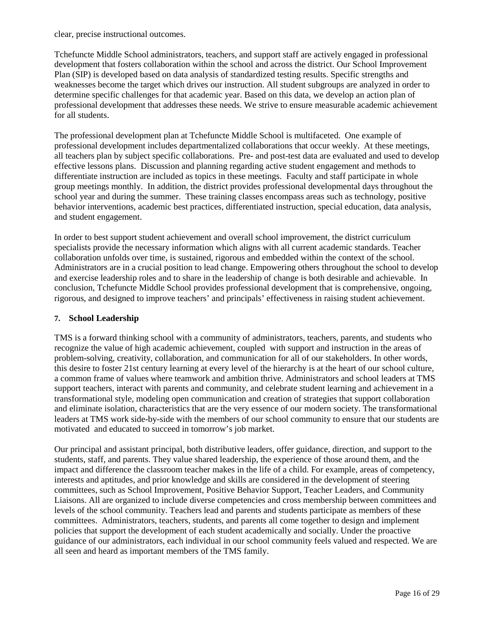clear, precise instructional outcomes.

Tchefuncte Middle School administrators, teachers, and support staff are actively engaged in professional development that fosters collaboration within the school and across the district. Our School Improvement Plan (SIP) is developed based on data analysis of standardized testing results. Specific strengths and weaknesses become the target which drives our instruction. All student subgroups are analyzed in order to determine specific challenges for that academic year. Based on this data, we develop an action plan of professional development that addresses these needs. We strive to ensure measurable academic achievement for all students.

The professional development plan at Tchefuncte Middle School is multifaceted. One example of professional development includes departmentalized collaborations that occur weekly. At these meetings, all teachers plan by subject specific collaborations. Pre- and post-test data are evaluated and used to develop effective lessons plans. Discussion and planning regarding active student engagement and methods to differentiate instruction are included as topics in these meetings. Faculty and staff participate in whole group meetings monthly. In addition, the district provides professional developmental days throughout the school year and during the summer. These training classes encompass areas such as technology, positive behavior interventions, academic best practices, differentiated instruction, special education, data analysis, and student engagement.

In order to best support student achievement and overall school improvement, the district curriculum specialists provide the necessary information which aligns with all current academic standards. Teacher collaboration unfolds over time, is sustained, rigorous and embedded within the context of the school. Administrators are in a crucial position to lead change. Empowering others throughout the school to develop and exercise leadership roles and to share in the leadership of change is both desirable and achievable. In conclusion, Tchefuncte Middle School provides professional development that is comprehensive, ongoing, rigorous, and designed to improve teachers' and principals' effectiveness in raising student achievement.

### **7. School Leadership**

TMS is a forward thinking school with a community of administrators, teachers, parents, and students who recognize the value of high academic achievement, coupled with support and instruction in the areas of problem-solving, creativity, collaboration, and communication for all of our stakeholders. In other words, this desire to foster 21st century learning at every level of the hierarchy is at the heart of our school culture, a common frame of values where teamwork and ambition thrive. Administrators and school leaders at TMS support teachers, interact with parents and community, and celebrate student learning and achievement in a transformational style, modeling open communication and creation of strategies that support collaboration and eliminate isolation, characteristics that are the very essence of our modern society. The transformational leaders at TMS work side-by-side with the members of our school community to ensure that our students are motivated and educated to succeed in tomorrow's job market.

Our principal and assistant principal, both distributive leaders, offer guidance, direction, and support to the students, staff, and parents. They value shared leadership, the experience of those around them, and the impact and difference the classroom teacher makes in the life of a child. For example, areas of competency, interests and aptitudes, and prior knowledge and skills are considered in the development of steering committees, such as School Improvement, Positive Behavior Support, Teacher Leaders, and Community Liaisons. All are organized to include diverse competencies and cross membership between committees and levels of the school community. Teachers lead and parents and students participate as members of these committees. Administrators, teachers, students, and parents all come together to design and implement policies that support the development of each student academically and socially. Under the proactive guidance of our administrators, each individual in our school community feels valued and respected. We are all seen and heard as important members of the TMS family.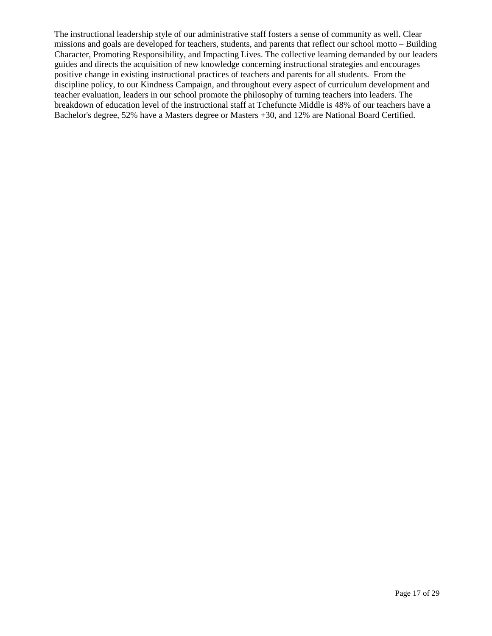The instructional leadership style of our administrative staff fosters a sense of community as well. Clear missions and goals are developed for teachers, students, and parents that reflect our school motto – Building Character, Promoting Responsibility, and Impacting Lives. The collective learning demanded by our leaders guides and directs the acquisition of new knowledge concerning instructional strategies and encourages positive change in existing instructional practices of teachers and parents for all students. From the discipline policy, to our Kindness Campaign, and throughout every aspect of curriculum development and teacher evaluation, leaders in our school promote the philosophy of turning teachers into leaders. The breakdown of education level of the instructional staff at Tchefuncte Middle is 48% of our teachers have a Bachelor's degree, 52% have a Masters degree or Masters +30, and 12% are National Board Certified.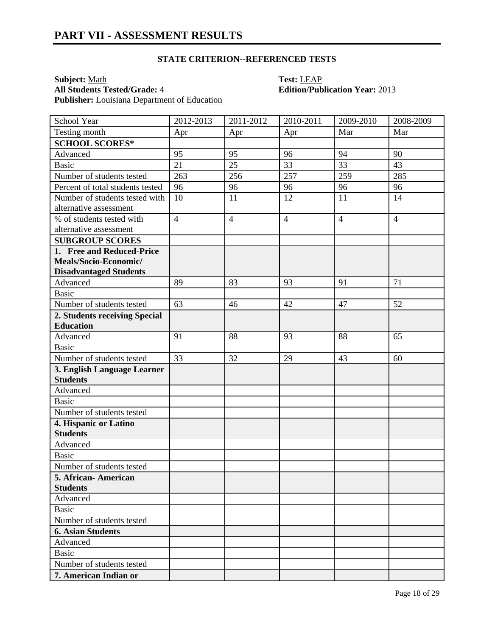**Subject:** <u>Math</u><br> **All Students Tested/Grade:** 4 **Test: LEAP**<br> **Edition/Pub Publisher:** Louisiana Department of Education

# **All Students Tested/Grade:** 4 **Edition/Publication Year:** 2013

| School Year                      | 2012-2013      | 2011-2012      | 2010-2011      | 2009-2010       | 2008-2009      |
|----------------------------------|----------------|----------------|----------------|-----------------|----------------|
| Testing month                    | Apr            | Apr            | Apr            | Mar             | Mar            |
| <b>SCHOOL SCORES*</b>            |                |                |                |                 |                |
| Advanced                         | 95             | 95             | 96             | 94              | 90             |
| <b>Basic</b>                     | 21             | 25             | 33             | $\overline{33}$ | 43             |
| Number of students tested        | 263            | 256            | 257            | 259             | 285            |
| Percent of total students tested | 96             | 96             | 96             | 96              | 96             |
| Number of students tested with   | 10             | 11             | 12             | 11              | 14             |
| alternative assessment           |                |                |                |                 |                |
| % of students tested with        | $\overline{4}$ | $\overline{4}$ | $\overline{4}$ | $\overline{4}$  | $\overline{4}$ |
| alternative assessment           |                |                |                |                 |                |
| <b>SUBGROUP SCORES</b>           |                |                |                |                 |                |
| 1. Free and Reduced-Price        |                |                |                |                 |                |
| Meals/Socio-Economic/            |                |                |                |                 |                |
| <b>Disadvantaged Students</b>    |                |                |                |                 |                |
| Advanced                         | 89             | 83             | 93             | 91              | 71             |
| <b>Basic</b>                     |                |                |                |                 |                |
| Number of students tested        | 63             | 46             | 42             | 47              | 52             |
| 2. Students receiving Special    |                |                |                |                 |                |
| <b>Education</b>                 |                |                |                |                 |                |
| Advanced                         | 91             | 88             | 93             | 88              | 65             |
| <b>Basic</b>                     |                |                |                |                 |                |
| Number of students tested        | 33             | 32             | 29             | 43              | 60             |
| 3. English Language Learner      |                |                |                |                 |                |
| <b>Students</b>                  |                |                |                |                 |                |
| Advanced                         |                |                |                |                 |                |
| <b>Basic</b>                     |                |                |                |                 |                |
| Number of students tested        |                |                |                |                 |                |
| 4. Hispanic or Latino            |                |                |                |                 |                |
| <b>Students</b>                  |                |                |                |                 |                |
| Advanced                         |                |                |                |                 |                |
| <b>Basic</b>                     |                |                |                |                 |                |
| Number of students tested        |                |                |                |                 |                |
| 5. African-American              |                |                |                |                 |                |
| <b>Students</b>                  |                |                |                |                 |                |
| Advanced                         |                |                |                |                 |                |
| <b>Basic</b>                     |                |                |                |                 |                |
| Number of students tested        |                |                |                |                 |                |
| <b>6. Asian Students</b>         |                |                |                |                 |                |
| Advanced                         |                |                |                |                 |                |
| <b>Basic</b>                     |                |                |                |                 |                |
| Number of students tested        |                |                |                |                 |                |
| 7. American Indian or            |                |                |                |                 |                |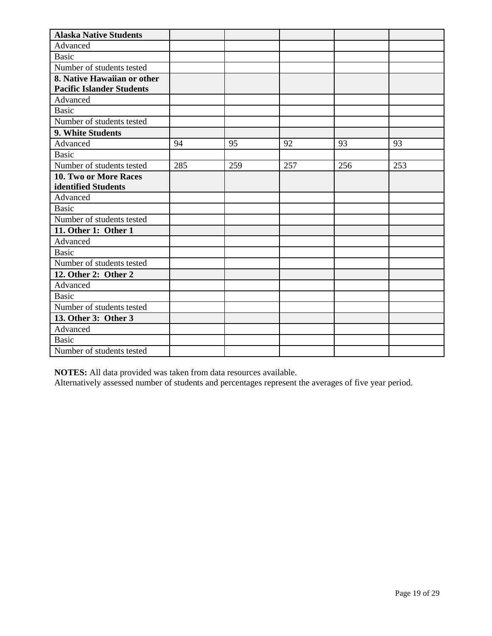| <b>Alaska Native Students</b>    |     |     |     |     |     |
|----------------------------------|-----|-----|-----|-----|-----|
| Advanced                         |     |     |     |     |     |
| <b>Basic</b>                     |     |     |     |     |     |
| Number of students tested        |     |     |     |     |     |
| 8. Native Hawaiian or other      |     |     |     |     |     |
| <b>Pacific Islander Students</b> |     |     |     |     |     |
| Advanced                         |     |     |     |     |     |
| <b>Basic</b>                     |     |     |     |     |     |
| Number of students tested        |     |     |     |     |     |
| 9. White Students                |     |     |     |     |     |
| Advanced                         | 94  | 95  | 92  | 93  | 93  |
| <b>Basic</b>                     |     |     |     |     |     |
| Number of students tested        | 285 | 259 | 257 | 256 | 253 |
| 10. Two or More Races            |     |     |     |     |     |
| identified Students              |     |     |     |     |     |
| Advanced                         |     |     |     |     |     |
| <b>Basic</b>                     |     |     |     |     |     |
| Number of students tested        |     |     |     |     |     |
| 11. Other 1: Other 1             |     |     |     |     |     |
| Advanced                         |     |     |     |     |     |
| <b>Basic</b>                     |     |     |     |     |     |
| Number of students tested        |     |     |     |     |     |
| 12. Other 2: Other 2             |     |     |     |     |     |
| Advanced                         |     |     |     |     |     |
| <b>Basic</b>                     |     |     |     |     |     |
| Number of students tested        |     |     |     |     |     |
| 13. Other 3: Other 3             |     |     |     |     |     |
| Advanced                         |     |     |     |     |     |
| <b>Basic</b>                     |     |     |     |     |     |
| Number of students tested        |     |     |     |     |     |

Alternatively assessed number of students and percentages represent the averages of five year period.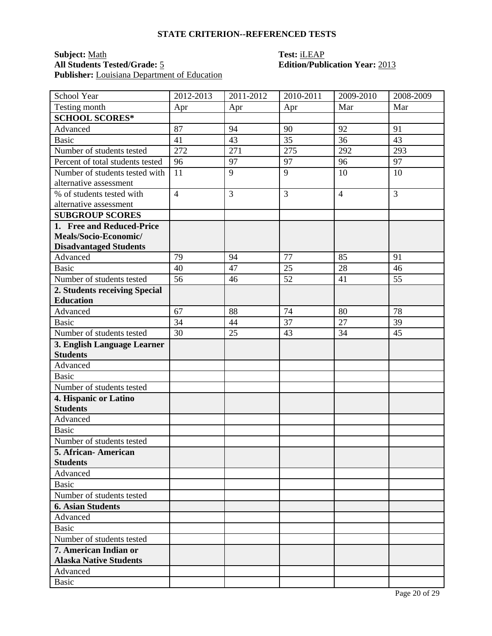### **Subject:** <u>Math</u><br> **All Students Tested/Grade:** 5 **Test: ILEAP**<br> **Edition/Publication Year:** 2013 **All Students Tested/Grade:** 5 **Edition/Publication Year:** 2013 **Publisher:** Louisiana Department of Education

| School Year                      | 2012-2013      | 2011-2012 | 2010-2011 | 2009-2010      | 2008-2009      |
|----------------------------------|----------------|-----------|-----------|----------------|----------------|
| Testing month                    | Apr            | Apr       | Apr       | Mar            | Mar            |
| <b>SCHOOL SCORES*</b>            |                |           |           |                |                |
| Advanced                         | 87             | 94        | 90        | 92             | 91             |
| <b>Basic</b>                     | 41             | 43        | 35        | 36             | 43             |
| Number of students tested        | 272            | 271       | 275       | 292            | 293            |
| Percent of total students tested | 96             | 97        | 97        | 96             | 97             |
| Number of students tested with   | 11             | 9         | 9         | 10             | 10             |
| alternative assessment           |                |           |           |                |                |
| % of students tested with        | $\overline{4}$ | 3         | 3         | $\overline{4}$ | $\overline{3}$ |
| alternative assessment           |                |           |           |                |                |
| <b>SUBGROUP SCORES</b>           |                |           |           |                |                |
| 1. Free and Reduced-Price        |                |           |           |                |                |
| Meals/Socio-Economic/            |                |           |           |                |                |
| <b>Disadvantaged Students</b>    |                |           |           |                |                |
| Advanced                         | 79             | 94        | 77        | 85             | 91             |
| <b>Basic</b>                     | 40             | 47        | 25        | 28             | 46             |
| Number of students tested        | 56             | 46        | 52        | 41             | 55             |
| 2. Students receiving Special    |                |           |           |                |                |
| <b>Education</b>                 |                |           |           |                |                |
| Advanced                         | 67             | 88        | 74        | 80             | 78             |
| <b>Basic</b>                     | 34             | 44        | 37        | 27             | 39             |
| Number of students tested        | 30             | 25        | 43        | 34             | 45             |
| 3. English Language Learner      |                |           |           |                |                |
| <b>Students</b>                  |                |           |           |                |                |
| Advanced                         |                |           |           |                |                |
| <b>Basic</b>                     |                |           |           |                |                |
| Number of students tested        |                |           |           |                |                |
| 4. Hispanic or Latino            |                |           |           |                |                |
| <b>Students</b>                  |                |           |           |                |                |
| Advanced                         |                |           |           |                |                |
| <b>Basic</b>                     |                |           |           |                |                |
| Number of students tested        |                |           |           |                |                |
| 5. African- American             |                |           |           |                |                |
| <b>Students</b>                  |                |           |           |                |                |
| Advanced                         |                |           |           |                |                |
| <b>Basic</b>                     |                |           |           |                |                |
| Number of students tested        |                |           |           |                |                |
| <b>6. Asian Students</b>         |                |           |           |                |                |
| Advanced                         |                |           |           |                |                |
| <b>Basic</b>                     |                |           |           |                |                |
| Number of students tested        |                |           |           |                |                |
| 7. American Indian or            |                |           |           |                |                |
| <b>Alaska Native Students</b>    |                |           |           |                |                |
| Advanced                         |                |           |           |                |                |
| <b>Basic</b>                     |                |           |           |                |                |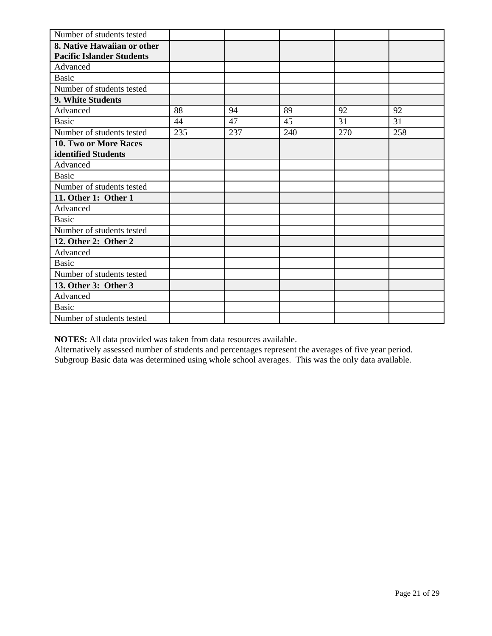| Number of students tested        |     |     |     |     |     |
|----------------------------------|-----|-----|-----|-----|-----|
| 8. Native Hawaiian or other      |     |     |     |     |     |
| <b>Pacific Islander Students</b> |     |     |     |     |     |
| Advanced                         |     |     |     |     |     |
| <b>Basic</b>                     |     |     |     |     |     |
| Number of students tested        |     |     |     |     |     |
| 9. White Students                |     |     |     |     |     |
| Advanced                         | 88  | 94  | 89  | 92  | 92  |
| <b>Basic</b>                     | 44  | 47  | 45  | 31  | 31  |
| Number of students tested        | 235 | 237 | 240 | 270 | 258 |
| 10. Two or More Races            |     |     |     |     |     |
| identified Students              |     |     |     |     |     |
| Advanced                         |     |     |     |     |     |
| <b>Basic</b>                     |     |     |     |     |     |
| Number of students tested        |     |     |     |     |     |
| 11. Other 1: Other 1             |     |     |     |     |     |
| Advanced                         |     |     |     |     |     |
| <b>Basic</b>                     |     |     |     |     |     |
| Number of students tested        |     |     |     |     |     |
| 12. Other 2: Other 2             |     |     |     |     |     |
| Advanced                         |     |     |     |     |     |
| <b>Basic</b>                     |     |     |     |     |     |
| Number of students tested        |     |     |     |     |     |
| 13. Other 3: Other 3             |     |     |     |     |     |
| Advanced                         |     |     |     |     |     |
| <b>Basic</b>                     |     |     |     |     |     |
| Number of students tested        |     |     |     |     |     |

Alternatively assessed number of students and percentages represent the averages of five year period. Subgroup Basic data was determined using whole school averages. This was the only data available.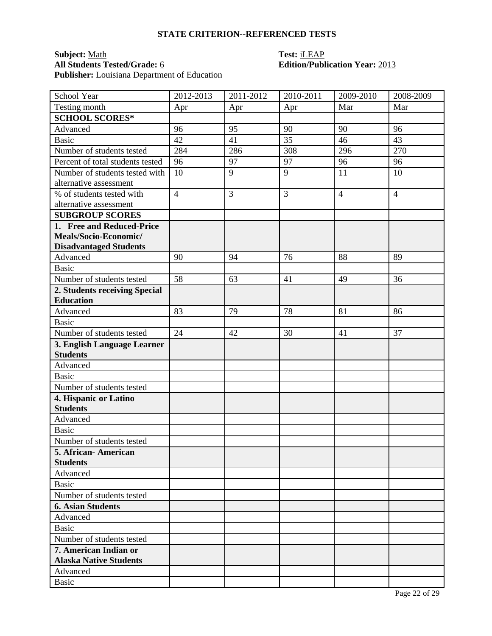### **Subject:** <u>Math</u><br> **All Students Tested/Grade:** <u>6</u> **Test: iLEAP**<br> **Edition/Publ** Publisher: Louisiana Department of Education

# **All Students Tested/Grade:** 6 **Edition/Publication Year:** 2013

| School Year                      | 2012-2013      | 2011-2012 | 2010-2011 | 2009-2010      | 2008-2009      |
|----------------------------------|----------------|-----------|-----------|----------------|----------------|
| Testing month                    | Apr            | Apr       | Apr       | Mar            | Mar            |
| <b>SCHOOL SCORES*</b>            |                |           |           |                |                |
| Advanced                         | 96             | 95        | 90        | 90             | 96             |
| <b>Basic</b>                     | 42             | 41        | 35        | 46             | 43             |
| Number of students tested        | 284            | 286       | 308       | 296            | 270            |
| Percent of total students tested | 96             | 97        | 97        | 96             | 96             |
| Number of students tested with   | 10             | 9         | 9         | 11             | 10             |
| alternative assessment           |                |           |           |                |                |
| % of students tested with        | $\overline{4}$ | 3         | 3         | $\overline{4}$ | $\overline{4}$ |
| alternative assessment           |                |           |           |                |                |
| <b>SUBGROUP SCORES</b>           |                |           |           |                |                |
| 1. Free and Reduced-Price        |                |           |           |                |                |
| Meals/Socio-Economic/            |                |           |           |                |                |
| <b>Disadvantaged Students</b>    |                |           |           |                |                |
| Advanced                         | 90             | 94        | 76        | 88             | 89             |
| <b>Basic</b>                     |                |           |           |                |                |
| Number of students tested        | 58             | 63        | 41        | 49             | 36             |
| 2. Students receiving Special    |                |           |           |                |                |
| <b>Education</b>                 |                |           |           |                |                |
| Advanced                         | 83             | 79        | 78        | 81             | 86             |
| <b>Basic</b>                     |                |           |           |                |                |
| Number of students tested        | 24             | 42        | 30        | 41             | 37             |
| 3. English Language Learner      |                |           |           |                |                |
| <b>Students</b>                  |                |           |           |                |                |
| Advanced                         |                |           |           |                |                |
| <b>Basic</b>                     |                |           |           |                |                |
| Number of students tested        |                |           |           |                |                |
| 4. Hispanic or Latino            |                |           |           |                |                |
| <b>Students</b>                  |                |           |           |                |                |
| Advanced                         |                |           |           |                |                |
| <b>Basic</b>                     |                |           |           |                |                |
| Number of students tested        |                |           |           |                |                |
| 5. African- American             |                |           |           |                |                |
| <b>Students</b>                  |                |           |           |                |                |
| Advanced                         |                |           |           |                |                |
| <b>Basic</b>                     |                |           |           |                |                |
| Number of students tested        |                |           |           |                |                |
| <b>6. Asian Students</b>         |                |           |           |                |                |
| Advanced                         |                |           |           |                |                |
| <b>Basic</b>                     |                |           |           |                |                |
| Number of students tested        |                |           |           |                |                |
| 7. American Indian or            |                |           |           |                |                |
| <b>Alaska Native Students</b>    |                |           |           |                |                |
| Advanced                         |                |           |           |                |                |
| <b>Basic</b>                     |                |           |           |                |                |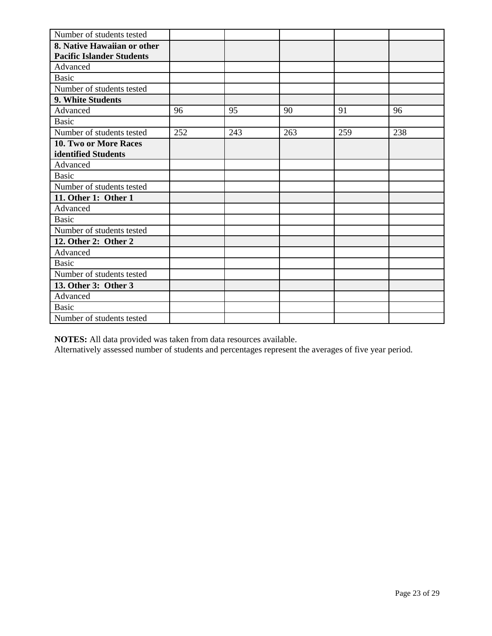| Number of students tested        |     |     |     |     |     |
|----------------------------------|-----|-----|-----|-----|-----|
| 8. Native Hawaiian or other      |     |     |     |     |     |
| <b>Pacific Islander Students</b> |     |     |     |     |     |
| Advanced                         |     |     |     |     |     |
| <b>Basic</b>                     |     |     |     |     |     |
| Number of students tested        |     |     |     |     |     |
| 9. White Students                |     |     |     |     |     |
| Advanced                         | 96  | 95  | 90  | 91  | 96  |
| <b>Basic</b>                     |     |     |     |     |     |
| Number of students tested        | 252 | 243 | 263 | 259 | 238 |
| 10. Two or More Races            |     |     |     |     |     |
| identified Students              |     |     |     |     |     |
| Advanced                         |     |     |     |     |     |
| <b>Basic</b>                     |     |     |     |     |     |
| Number of students tested        |     |     |     |     |     |
| 11. Other 1: Other 1             |     |     |     |     |     |
| Advanced                         |     |     |     |     |     |
| <b>Basic</b>                     |     |     |     |     |     |
| Number of students tested        |     |     |     |     |     |
| 12. Other 2: Other 2             |     |     |     |     |     |
| Advanced                         |     |     |     |     |     |
| <b>Basic</b>                     |     |     |     |     |     |
| Number of students tested        |     |     |     |     |     |
| 13. Other 3: Other 3             |     |     |     |     |     |
| Advanced                         |     |     |     |     |     |
| <b>Basic</b>                     |     |     |     |     |     |
| Number of students tested        |     |     |     |     |     |

Alternatively assessed number of students and percentages represent the averages of five year period.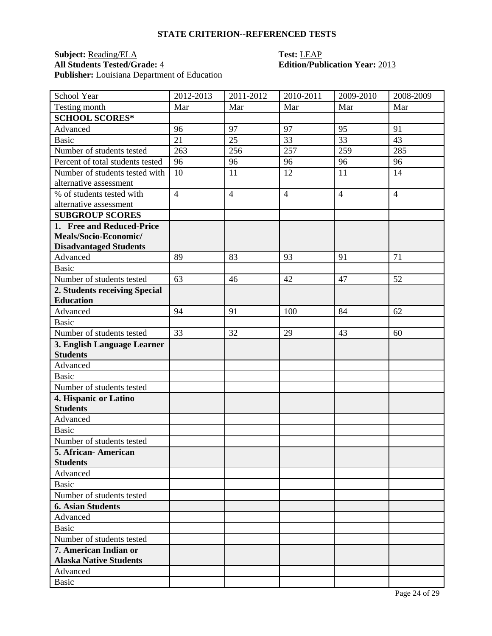### **Subject:** <u>Reading/ELA</u> **Test:** <u>LEAP</u><br> **All Students Tested/Grade:** 4 **Edition/Pub Publisher:** Louisiana Department of Education

# **All Students Tested/Grade:** 4 **Edition/Publication Year:** 2013

| School Year                              | 2012-2013      | 2011-2012      | 2010-2011      | 2009-2010      | 2008-2009      |
|------------------------------------------|----------------|----------------|----------------|----------------|----------------|
| Testing month                            | Mar            | Mar            | Mar            | Mar            | Mar            |
| <b>SCHOOL SCORES*</b>                    |                |                |                |                |                |
| Advanced                                 | 96             | 97             | 97             | 95             | 91             |
| <b>Basic</b>                             | 21             | 25             | 33             | 33             | 43             |
| Number of students tested                | 263            | 256            | 257            | 259            | 285            |
| Percent of total students tested         | 96             | 96             | 96             | 96             | 96             |
| Number of students tested with           | 10             | 11             | 12             | 11             | 14             |
| alternative assessment                   |                |                |                |                |                |
| % of students tested with                | $\overline{4}$ | $\overline{4}$ | $\overline{4}$ | $\overline{4}$ | $\overline{4}$ |
| alternative assessment                   |                |                |                |                |                |
| <b>SUBGROUP SCORES</b>                   |                |                |                |                |                |
| 1. Free and Reduced-Price                |                |                |                |                |                |
| Meals/Socio-Economic/                    |                |                |                |                |                |
| <b>Disadvantaged Students</b>            |                |                |                |                |                |
| Advanced                                 | 89             | 83             | 93             | 91             | 71             |
| <b>Basic</b>                             |                |                |                |                |                |
| Number of students tested                | 63             | 46             | 42             | 47             | 52             |
| 2. Students receiving Special            |                |                |                |                |                |
| <b>Education</b>                         |                |                |                |                |                |
| Advanced                                 | 94             | 91             | 100            | 84             | 62             |
| <b>Basic</b>                             |                |                |                |                |                |
| Number of students tested                | 33             | 32             | 29             | 43             | 60             |
| 3. English Language Learner              |                |                |                |                |                |
| <b>Students</b>                          |                |                |                |                |                |
| Advanced                                 |                |                |                |                |                |
| <b>Basic</b>                             |                |                |                |                |                |
| Number of students tested                |                |                |                |                |                |
| 4. Hispanic or Latino<br><b>Students</b> |                |                |                |                |                |
| Advanced                                 |                |                |                |                |                |
| <b>Basic</b>                             |                |                |                |                |                |
| Number of students tested                |                |                |                |                |                |
| 5. African-American                      |                |                |                |                |                |
| <b>Students</b>                          |                |                |                |                |                |
| Advanced                                 |                |                |                |                |                |
| Basic                                    |                |                |                |                |                |
| Number of students tested                |                |                |                |                |                |
| <b>6. Asian Students</b>                 |                |                |                |                |                |
| Advanced                                 |                |                |                |                |                |
| <b>Basic</b>                             |                |                |                |                |                |
| Number of students tested                |                |                |                |                |                |
| 7. American Indian or                    |                |                |                |                |                |
| <b>Alaska Native Students</b>            |                |                |                |                |                |
| Advanced                                 |                |                |                |                |                |
| <b>Basic</b>                             |                |                |                |                |                |
|                                          |                |                |                |                |                |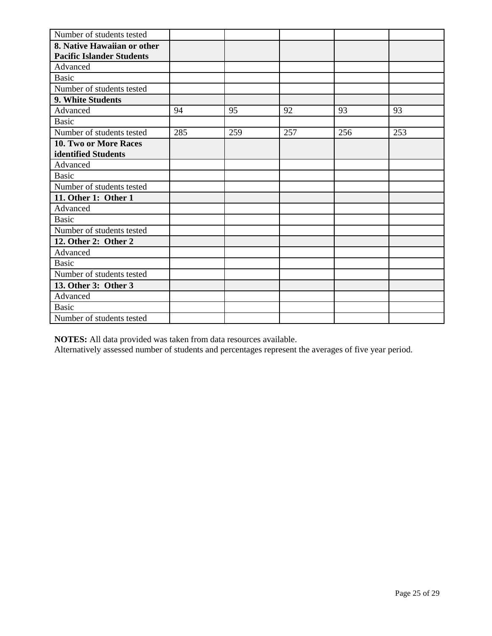| Number of students tested        |     |     |     |     |     |
|----------------------------------|-----|-----|-----|-----|-----|
| 8. Native Hawaiian or other      |     |     |     |     |     |
| <b>Pacific Islander Students</b> |     |     |     |     |     |
| Advanced                         |     |     |     |     |     |
| <b>Basic</b>                     |     |     |     |     |     |
| Number of students tested        |     |     |     |     |     |
| 9. White Students                |     |     |     |     |     |
| Advanced                         | 94  | 95  | 92  | 93  | 93  |
| <b>Basic</b>                     |     |     |     |     |     |
| Number of students tested        | 285 | 259 | 257 | 256 | 253 |
| <b>10. Two or More Races</b>     |     |     |     |     |     |
| identified Students              |     |     |     |     |     |
| Advanced                         |     |     |     |     |     |
| <b>Basic</b>                     |     |     |     |     |     |
| Number of students tested        |     |     |     |     |     |
| 11. Other 1: Other 1             |     |     |     |     |     |
| Advanced                         |     |     |     |     |     |
| <b>Basic</b>                     |     |     |     |     |     |
| Number of students tested        |     |     |     |     |     |
| 12. Other 2: Other 2             |     |     |     |     |     |
| Advanced                         |     |     |     |     |     |
| <b>Basic</b>                     |     |     |     |     |     |
| Number of students tested        |     |     |     |     |     |
| 13. Other 3: Other 3             |     |     |     |     |     |
| Advanced                         |     |     |     |     |     |
| <b>Basic</b>                     |     |     |     |     |     |
| Number of students tested        |     |     |     |     |     |

Alternatively assessed number of students and percentages represent the averages of five year period.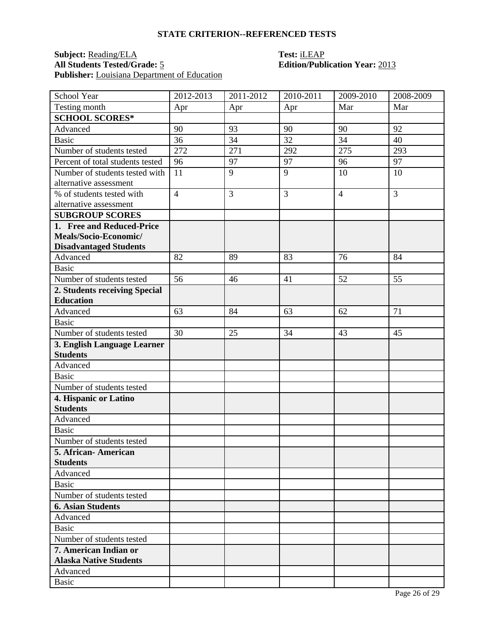### **Subject:** <u>Reading/ELA</u> **Test:** <u>iLEAP</u><br> **All Students Tested/Grade:** 5 **Edition/Publ** Publisher: Louisiana Department of Education

# **All Students Tested/Grade:** 5 **Edition/Publication Year:** 2013

| School Year                             | 2012-2013      | 2011-2012 | 2010-2011 | 2009-2010      | 2008-2009 |
|-----------------------------------------|----------------|-----------|-----------|----------------|-----------|
| Testing month                           | Apr            | Apr       | Apr       | Mar            | Mar       |
| <b>SCHOOL SCORES*</b>                   |                |           |           |                |           |
| Advanced                                | 90             | 93        | 90        | 90             | 92        |
| <b>Basic</b>                            | 36             | 34        | 32        | 34             | 40        |
| Number of students tested               | 272            | 271       | 292       | 275            | 293       |
| Percent of total students tested        | 96             | 97        | 97        | 96             | 97        |
| Number of students tested with          | 11             | 9         | 9         | 10             | 10        |
| alternative assessment                  |                |           |           |                |           |
| % of students tested with               | $\overline{4}$ | 3         | 3         | $\overline{4}$ | 3         |
| alternative assessment                  |                |           |           |                |           |
| <b>SUBGROUP SCORES</b>                  |                |           |           |                |           |
| 1. Free and Reduced-Price               |                |           |           |                |           |
| Meals/Socio-Economic/                   |                |           |           |                |           |
| <b>Disadvantaged Students</b>           |                |           |           |                |           |
| Advanced                                | 82             | 89        | 83        | 76             | 84        |
| <b>Basic</b>                            |                |           |           |                |           |
| Number of students tested               | 56             | 46        | 41        | 52             | 55        |
| 2. Students receiving Special           |                |           |           |                |           |
| <b>Education</b>                        |                |           |           |                |           |
| Advanced                                | 63             | 84        | 63        | 62             | 71        |
| <b>Basic</b>                            |                |           |           |                |           |
| Number of students tested               | 30             | 25        | 34        | 43             | 45        |
| 3. English Language Learner             |                |           |           |                |           |
| <b>Students</b>                         |                |           |           |                |           |
| Advanced                                |                |           |           |                |           |
| <b>Basic</b>                            |                |           |           |                |           |
| Number of students tested               |                |           |           |                |           |
| 4. Hispanic or Latino                   |                |           |           |                |           |
| <b>Students</b>                         |                |           |           |                |           |
| Advanced                                |                |           |           |                |           |
| <b>Basic</b>                            |                |           |           |                |           |
| Number of students tested               |                |           |           |                |           |
| 5. African- American<br><b>Students</b> |                |           |           |                |           |
| Advanced                                |                |           |           |                |           |
| Basic                                   |                |           |           |                |           |
| Number of students tested               |                |           |           |                |           |
| <b>6. Asian Students</b>                |                |           |           |                |           |
| Advanced                                |                |           |           |                |           |
| <b>Basic</b>                            |                |           |           |                |           |
| Number of students tested               |                |           |           |                |           |
| 7. American Indian or                   |                |           |           |                |           |
| <b>Alaska Native Students</b>           |                |           |           |                |           |
| Advanced                                |                |           |           |                |           |
| <b>Basic</b>                            |                |           |           |                |           |
|                                         |                |           |           |                |           |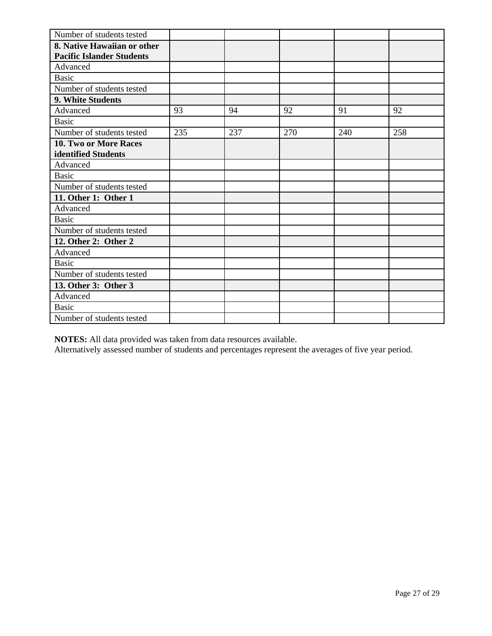| Number of students tested        |     |     |     |     |     |
|----------------------------------|-----|-----|-----|-----|-----|
| 8. Native Hawaiian or other      |     |     |     |     |     |
| <b>Pacific Islander Students</b> |     |     |     |     |     |
| Advanced                         |     |     |     |     |     |
| <b>Basic</b>                     |     |     |     |     |     |
| Number of students tested        |     |     |     |     |     |
| 9. White Students                |     |     |     |     |     |
| Advanced                         | 93  | 94  | 92  | 91  | 92  |
| <b>Basic</b>                     |     |     |     |     |     |
| Number of students tested        | 235 | 237 | 270 | 240 | 258 |
| 10. Two or More Races            |     |     |     |     |     |
| identified Students              |     |     |     |     |     |
| Advanced                         |     |     |     |     |     |
| <b>Basic</b>                     |     |     |     |     |     |
| Number of students tested        |     |     |     |     |     |
| 11. Other 1: Other 1             |     |     |     |     |     |
| Advanced                         |     |     |     |     |     |
| <b>Basic</b>                     |     |     |     |     |     |
| Number of students tested        |     |     |     |     |     |
| 12. Other 2: Other 2             |     |     |     |     |     |
| Advanced                         |     |     |     |     |     |
| <b>Basic</b>                     |     |     |     |     |     |
| Number of students tested        |     |     |     |     |     |
| 13. Other 3: Other 3             |     |     |     |     |     |
| Advanced                         |     |     |     |     |     |
| <b>Basic</b>                     |     |     |     |     |     |
| Number of students tested        |     |     |     |     |     |

Alternatively assessed number of students and percentages represent the averages of five year period.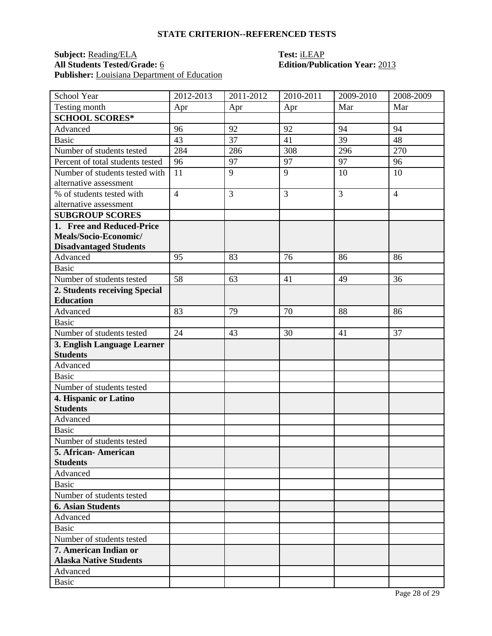### **Subject:** <u>Reading/ELA</u> **Test:** <u>iLEAP</u><br> **All Students Tested/Grade:** <u>6</u> **C Edition/Publ Publisher:** Louisiana Department of Education

# **All Students Tested/Grade:** 6 **Edition/Publication Year:** 2013

| School Year                              | 2012-2013      | 2011-2012 | 2010-2011 | 2009-2010 | 2008-2009      |
|------------------------------------------|----------------|-----------|-----------|-----------|----------------|
| Testing month                            | Apr            | Apr       | Apr       | Mar       | Mar            |
| <b>SCHOOL SCORES*</b>                    |                |           |           |           |                |
| Advanced                                 | 96             | 92        | 92        | 94        | 94             |
| <b>Basic</b>                             | 43             | 37        | 41        | 39        | 48             |
| Number of students tested                | 284            | 286       | 308       | 296       | 270            |
| Percent of total students tested         | 96             | 97        | 97        | 97        | 96             |
| Number of students tested with           | 11             | 9         | 9         | 10        | 10             |
| alternative assessment                   |                |           |           |           |                |
| % of students tested with                | $\overline{4}$ | 3         | 3         | 3         | $\overline{4}$ |
| alternative assessment                   |                |           |           |           |                |
| <b>SUBGROUP SCORES</b>                   |                |           |           |           |                |
| 1. Free and Reduced-Price                |                |           |           |           |                |
| Meals/Socio-Economic/                    |                |           |           |           |                |
| <b>Disadvantaged Students</b>            |                |           |           |           |                |
| Advanced                                 | 95             | 83        | 76        | 86        | 86             |
| <b>Basic</b>                             |                |           |           |           |                |
| Number of students tested                | 58             | 63        | 41        | 49        | 36             |
| 2. Students receiving Special            |                |           |           |           |                |
| <b>Education</b>                         |                |           |           |           |                |
| Advanced                                 | 83             | 79        | 70        | 88        | 86             |
| <b>Basic</b>                             |                |           |           |           |                |
| Number of students tested                | 24             | 43        | 30        | 41        | 37             |
| 3. English Language Learner              |                |           |           |           |                |
| <b>Students</b>                          |                |           |           |           |                |
| Advanced<br><b>Basic</b>                 |                |           |           |           |                |
|                                          |                |           |           |           |                |
| Number of students tested                |                |           |           |           |                |
| 4. Hispanic or Latino<br><b>Students</b> |                |           |           |           |                |
| Advanced                                 |                |           |           |           |                |
| <b>Basic</b>                             |                |           |           |           |                |
| Number of students tested                |                |           |           |           |                |
| 5. African- American                     |                |           |           |           |                |
| <b>Students</b>                          |                |           |           |           |                |
| Advanced                                 |                |           |           |           |                |
| Basic                                    |                |           |           |           |                |
| Number of students tested                |                |           |           |           |                |
| <b>6. Asian Students</b>                 |                |           |           |           |                |
| Advanced                                 |                |           |           |           |                |
| <b>Basic</b>                             |                |           |           |           |                |
| Number of students tested                |                |           |           |           |                |
| 7. American Indian or                    |                |           |           |           |                |
| <b>Alaska Native Students</b>            |                |           |           |           |                |
| Advanced                                 |                |           |           |           |                |
| <b>Basic</b>                             |                |           |           |           |                |
|                                          |                |           |           |           |                |